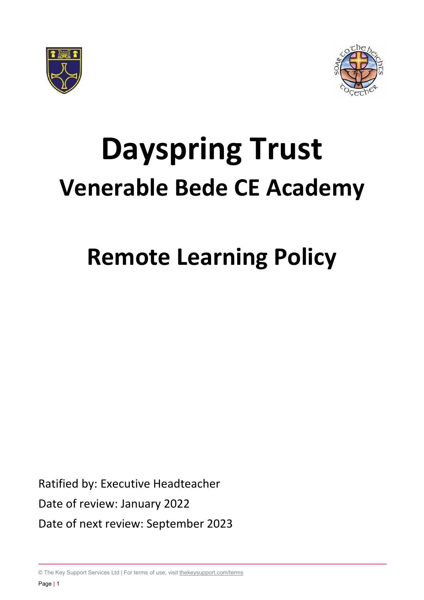



# **Dayspring Trust Venerable Bede CE Academy**

# **Remote Learning Policy**

Ratified by: Executive Headteacher Date of review: January 2022 Date of next review: September 2023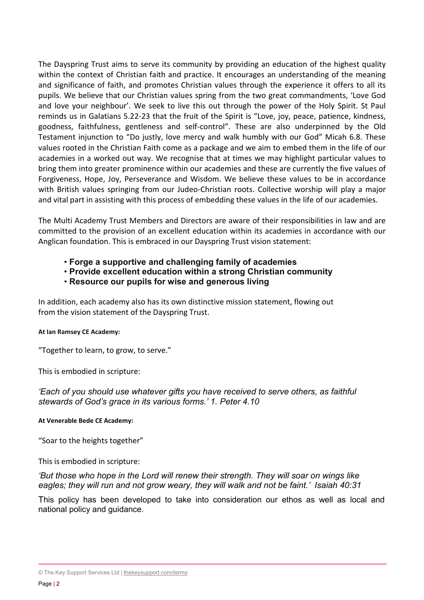The Dayspring Trust aims to serve its community by providing an education of the highest quality within the context of Christian faith and practice. It encourages an understanding of the meaning and significance of faith, and promotes Christian values through the experience it offers to all its pupils. We believe that our Christian values spring from the two great commandments, 'Love God and love your neighbour'. We seek to live this out through the power of the Holy Spirit. St Paul reminds us in Galatians 5.22-23 that the fruit of the Spirit is "Love, joy, peace, patience, kindness, goodness, faithfulness, gentleness and self-control". These are also underpinned by the Old Testament injunction to "Do justly, love mercy and walk humbly with our God" Micah 6.8. These values rooted in the Christian Faith come as a package and we aim to embed them in the life of our academies in a worked out way. We recognise that at times we may highlight particular values to bring them into greater prominence within our academies and these are currently the five values of Forgiveness, Hope, Joy, Perseverance and Wisdom. We believe these values to be in accordance with British values springing from our Judeo-Christian roots. Collective worship will play a major and vital part in assisting with this process of embedding these values in the life of our academies.

The Multi Academy Trust Members and Directors are aware of their responsibilities in law and are committed to the provision of an excellent education within its academies in accordance with our Anglican foundation. This is embraced in our Dayspring Trust vision statement:

- **Forge a supportive and challenging family of academies**
- **Provide excellent education within a strong Christian community**
- **Resource our pupils for wise and generous living**

In addition, each academy also has its own distinctive mission statement, flowing out from the vision statement of the Dayspring Trust.

#### **At Ian Ramsey CE Academy:**

"Together to learn, to grow, to serve."

This is embodied in scripture:

*'Each of you should use whatever gifts you have received to serve others, as faithful stewards of God's grace in its various forms.' 1. Peter 4.10*

**At Venerable Bede CE Academy:**

"Soar to the heights together"

This is embodied in scripture:

*'But those who hope in the Lord will renew their strength. They will soar on wings like eagles; they will run and not grow weary, they will walk and not be faint.' Isaiah 40:31*

This policy has been developed to take into consideration our ethos as well as local and national policy and guidance.

<sup>©</sup> The Key Support Services Ltd | [thekeysupport.com/terms](https://thekeysupport.com/terms-of-use)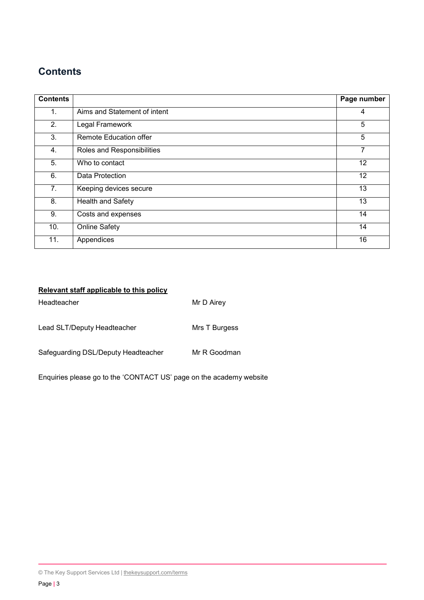### **Contents**

| <b>Contents</b> |                              | Page number |
|-----------------|------------------------------|-------------|
| 1.              | Aims and Statement of intent | 4           |
| 2.              | Legal Framework              | 5           |
| 3.              | Remote Education offer       | 5           |
| 4.              | Roles and Responsibilities   | 7           |
| 5.              | Who to contact               | 12          |
| 6.              | Data Protection              | 12          |
| 7.              | Keeping devices secure       | 13          |
| 8.              | Health and Safety            | 13          |
| 9.              | Costs and expenses           | 14          |
| 10.             | <b>Online Safety</b>         | 14          |
| 11.             | Appendices                   | 16          |

#### **Relevant staff applicable to this policy**

| Headteacher                         | Mr D Airey    |
|-------------------------------------|---------------|
| Lead SLT/Deputy Headteacher         | Mrs T Burgess |
| Safeguarding DSL/Deputy Headteacher | Mr R Goodman  |

Enquiries please go to the 'CONTACT US' page on the academy website

<sup>©</sup> The Key Support Services Ltd | [thekeysupport.com/terms](https://thekeysupport.com/terms-of-use)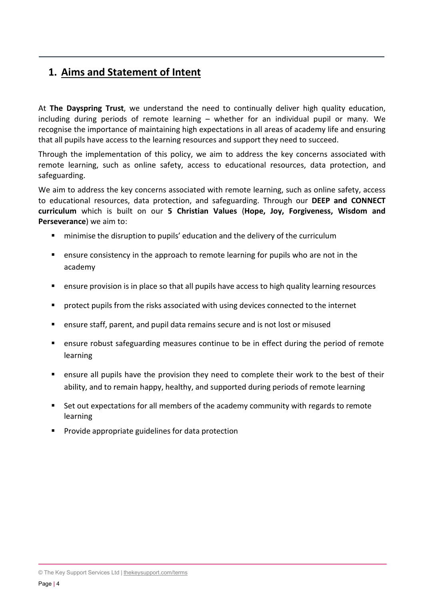## **1. Aims and Statement of Intent**

At **The Dayspring Trust**, we understand the need to continually deliver high quality education, including during periods of remote learning – whether for an individual pupil or many. We recognise the importance of maintaining high expectations in all areas of academy life and ensuring that all pupils have access to the learning resources and support they need to succeed.

Through the implementation of this policy, we aim to address the key concerns associated with remote learning, such as online safety, access to educational resources, data protection, and safeguarding.

We aim to address the key concerns associated with remote learning, such as online safety, access to educational resources, data protection, and safeguarding. Through our **DEEP and CONNECT curriculum** which is built on our **5 Christian Values** (**Hope, Joy, Forgiveness, Wisdom and Perseverance**) we aim to:

- minimise the disruption to pupils' education and the delivery of the curriculum
- ensure consistency in the approach to remote learning for pupils who are not in the academy
- ensure provision is in place so that all pupils have access to high quality learning resources
- protect pupils from the risks associated with using devices connected to the internet
- ensure staff, parent, and pupil data remains secure and is not lost or misused
- ensure robust safeguarding measures continue to be in effect during the period of remote learning
- ensure all pupils have the provision they need to complete their work to the best of their ability, and to remain happy, healthy, and supported during periods of remote learning
- Set out expectations for all members of the academy community with regards to remote learning
- **Provide appropriate guidelines for data protection**

© The Key Support Services Ltd | [thekeysupport.com/terms](https://thekeysupport.com/terms-of-use)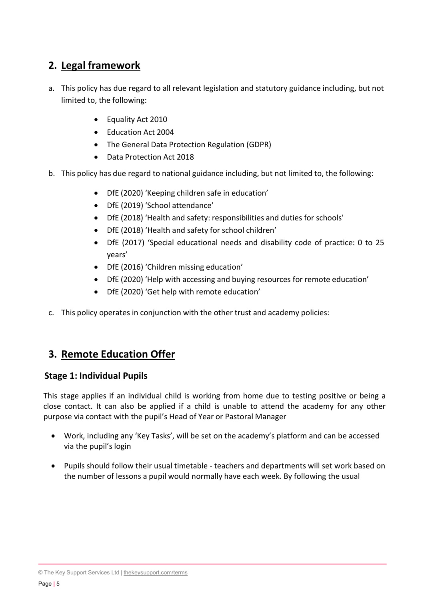## **2. Legal framework**

- a. This policy has due regard to all relevant legislation and statutory guidance including, but not limited to, the following:
	- Equality Act 2010
	- Education Act 2004
	- The General Data Protection Regulation (GDPR)
	- Data Protection Act 2018
- b. This policy has due regard to national guidance including, but not limited to, the following:
	- DfE (2020) 'Keeping children safe in education'
	- DfE (2019) 'School attendance'
	- DfE (2018) 'Health and safety: responsibilities and duties for schools'
	- DfE (2018) 'Health and safety for school children'
	- DfE (2017) 'Special educational needs and disability code of practice: 0 to 25 years'
	- DfE (2016) 'Children missing education'
	- DfE (2020) 'Help with accessing and buying resources for remote education'
	- DfE (2020) 'Get help with remote education'
- c. This policy operates in conjunction with the other trust and academy policies:

## **3. Remote Education Offer**

#### **Stage 1: Individual Pupils**

This stage applies if an individual child is working from home due to testing positive or being a close contact. It can also be applied if a child is unable to attend the academy for any other purpose via contact with the pupil's Head of Year or Pastoral Manager

- Work, including any 'Key Tasks', will be set on the academy's platform and can be accessed via the pupil's login
- Pupils should follow their usual timetable teachers and departments will set work based on the number of lessons a pupil would normally have each week. By following the usual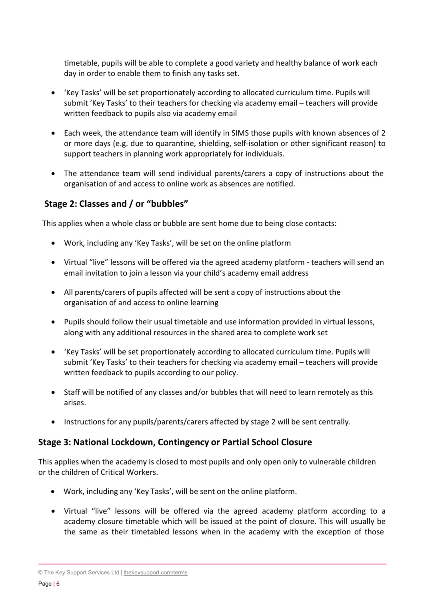timetable, pupils will be able to complete a good variety and healthy balance of work each day in order to enable them to finish any tasks set.

- 'Key Tasks' will be set proportionately according to allocated curriculum time. Pupils will submit 'Key Tasks' to their teachers for checking via academy email – teachers will provide written feedback to pupils also via academy email
- Each week, the attendance team will identify in SIMS those pupils with known absences of 2 or more days (e.g. due to quarantine, shielding, self-isolation or other significant reason) to support teachers in planning work appropriately for individuals.
- The attendance team will send individual parents/carers a copy of instructions about the organisation of and access to online work as absences are notified.

#### **Stage 2: Classes and / or "bubbles"**

This applies when a whole class or bubble are sent home due to being close contacts:

- Work, including any 'Key Tasks', will be set on the online platform
- Virtual "live" lessons will be offered via the agreed academy platform teachers will send an email invitation to join a lesson via your child's academy email address
- All parents/carers of pupils affected will be sent a copy of instructions about the organisation of and access to online learning
- Pupils should follow their usual timetable and use information provided in virtual lessons, along with any additional resources in the shared area to complete work set
- 'Key Tasks' will be set proportionately according to allocated curriculum time. Pupils will submit 'Key Tasks' to their teachers for checking via academy email – teachers will provide written feedback to pupils according to our policy.
- Staff will be notified of any classes and/or bubbles that will need to learn remotely as this arises.
- Instructions for any pupils/parents/carers affected by stage 2 will be sent centrally.

#### **Stage 3: National Lockdown, Contingency or Partial School Closure**

This applies when the academy is closed to most pupils and only open only to vulnerable children or the children of Critical Workers.

- Work, including any 'Key Tasks', will be sent on the online platform.
- Virtual "live" lessons will be offered via the agreed academy platform according to a academy closure timetable which will be issued at the point of closure. This will usually be the same as their timetabled lessons when in the academy with the exception of those

<sup>©</sup> The Key Support Services Ltd | [thekeysupport.com/terms](https://thekeysupport.com/terms-of-use)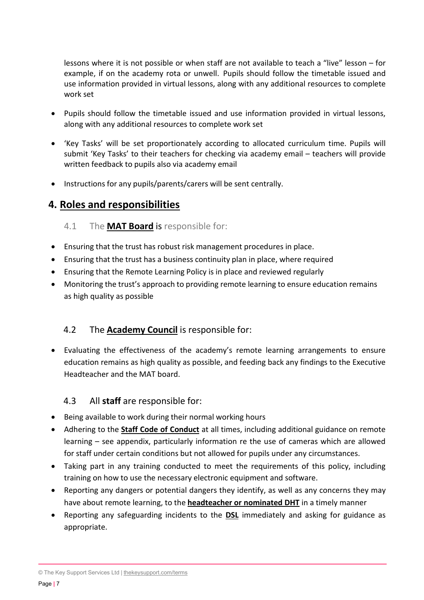lessons where it is not possible or when staff are not available to teach a "live" lesson – for example, if on the academy rota or unwell. Pupils should follow the timetable issued and use information provided in virtual lessons, along with any additional resources to complete work set

- Pupils should follow the timetable issued and use information provided in virtual lessons, along with any additional resources to complete work set
- 'Key Tasks' will be set proportionately according to allocated curriculum time. Pupils will submit 'Key Tasks' to their teachers for checking via academy email – teachers will provide written feedback to pupils also via academy email
- Instructions for any pupils/parents/carers will be sent centrally.

#### **4. Roles and responsibilities**

#### 4.1 The **MAT Board** is responsible for:

- Ensuring that the trust has robust risk management procedures in place.
- Ensuring that the trust has a business continuity plan in place, where required
- Ensuring that the Remote Learning Policy is in place and reviewed regularly
- Monitoring the trust's approach to providing remote learning to ensure education remains as high quality as possible

#### 4.2 The **Academy Council** is responsible for:

• Evaluating the effectiveness of the academy's remote learning arrangements to ensure education remains as high quality as possible, and feeding back any findings to the Executive Headteacher and the MAT board.

#### 4.3 All **staff** are responsible for:

- Being available to work during their normal working hours
- Adhering to the **Staff Code of Conduct** at all times, including additional guidance on remote learning – see appendix, particularly information re the use of cameras which are allowed for staff under certain conditions but not allowed for pupils under any circumstances.
- Taking part in any training conducted to meet the requirements of this policy, including training on how to use the necessary electronic equipment and software.
- Reporting any dangers or potential dangers they identify, as well as any concerns they may have about remote learning, to the **headteacher or nominated DHT** in a timely manner
- Reporting any safeguarding incidents to the **DSL** immediately and asking for guidance as appropriate.

© The Key Support Services Ltd | [thekeysupport.com/terms](https://thekeysupport.com/terms-of-use)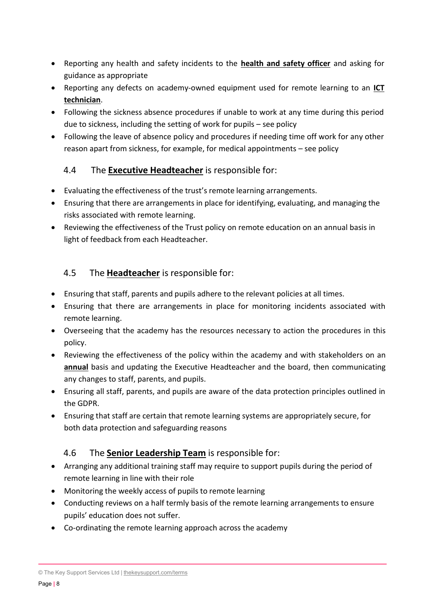- Reporting any health and safety incidents to the **health and safety officer** and asking for guidance as appropriate
- Reporting any defects on academy-owned equipment used for remote learning to an **ICT technician**.
- Following the sickness absence procedures if unable to work at any time during this period due to sickness, including the setting of work for pupils – see policy
- Following the leave of absence policy and procedures if needing time off work for any other reason apart from sickness, for example, for medical appointments – see policy

#### 4.4 The **Executive Headteacher** is responsible for:

- Evaluating the effectiveness of the trust's remote learning arrangements.
- Ensuring that there are arrangements in place for identifying, evaluating, and managing the risks associated with remote learning.
- Reviewing the effectiveness of the Trust policy on remote education on an annual basis in light of feedback from each Headteacher.

#### 4.5 The **Headteacher** is responsible for:

- Ensuring that staff, parents and pupils adhere to the relevant policies at all times.
- Ensuring that there are arrangements in place for monitoring incidents associated with remote learning.
- Overseeing that the academy has the resources necessary to action the procedures in this policy.
- Reviewing the effectiveness of the policy within the academy and with stakeholders on an **annual** basis and updating the Executive Headteacher and the board, then communicating any changes to staff, parents, and pupils.
- Ensuring all staff, parents, and pupils are aware of the data protection principles outlined in the GDPR.
- Ensuring that staff are certain that remote learning systems are appropriately secure, for both data protection and safeguarding reasons

#### 4.6 The **Senior Leadership Team** is responsible for:

- Arranging any additional training staff may require to support pupils during the period of remote learning in line with their role
- Monitoring the weekly access of pupils to remote learning
- Conducting reviews on a half termly basis of the remote learning arrangements to ensure pupils' education does not suffer.
- Co-ordinating the remote learning approach across the academy

© The Key Support Services Ltd | [thekeysupport.com/terms](https://thekeysupport.com/terms-of-use)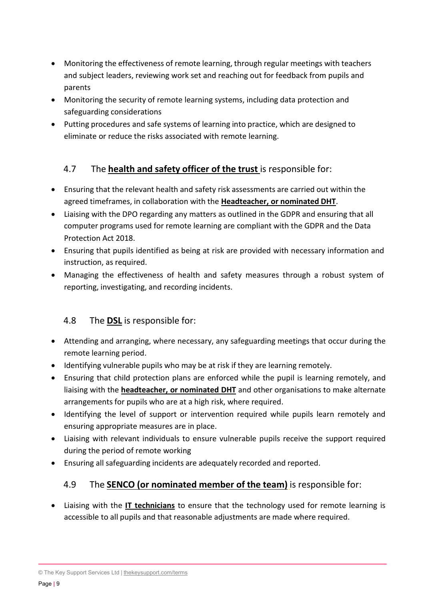- Monitoring the effectiveness of remote learning, through regular meetings with teachers and subject leaders, reviewing work set and reaching out for feedback from pupils and parents
- Monitoring the security of remote learning systems, including data protection and safeguarding considerations
- Putting procedures and safe systems of learning into practice, which are designed to eliminate or reduce the risks associated with remote learning.

#### 4.7 The **health and safety officer of the trust** is responsible for:

- Ensuring that the relevant health and safety risk assessments are carried out within the agreed timeframes, in collaboration with the **Headteacher, or nominated DHT**.
- Liaising with the DPO regarding any matters as outlined in the GDPR and ensuring that all computer programs used for remote learning are compliant with the GDPR and the Data Protection Act 2018.
- Ensuring that pupils identified as being at risk are provided with necessary information and instruction, as required.
- Managing the effectiveness of health and safety measures through a robust system of reporting, investigating, and recording incidents.

#### 4.8 The **DSL** is responsible for:

- Attending and arranging, where necessary, any safeguarding meetings that occur during the remote learning period.
- Identifying vulnerable pupils who may be at risk if they are learning remotely.
- Ensuring that child protection plans are enforced while the pupil is learning remotely, and liaising with the **headteacher, or nominated DHT** and other organisations to make alternate arrangements for pupils who are at a high risk, where required.
- Identifying the level of support or intervention required while pupils learn remotely and ensuring appropriate measures are in place.
- Liaising with relevant individuals to ensure vulnerable pupils receive the support required during the period of remote working
- Ensuring all safeguarding incidents are adequately recorded and reported.

#### 4.9 The **SENCO (or nominated member of the team)** is responsible for:

• Liaising with the **IT technicians** to ensure that the technology used for remote learning is accessible to all pupils and that reasonable adjustments are made where required.

© The Key Support Services Ltd | [thekeysupport.com/terms](https://thekeysupport.com/terms-of-use)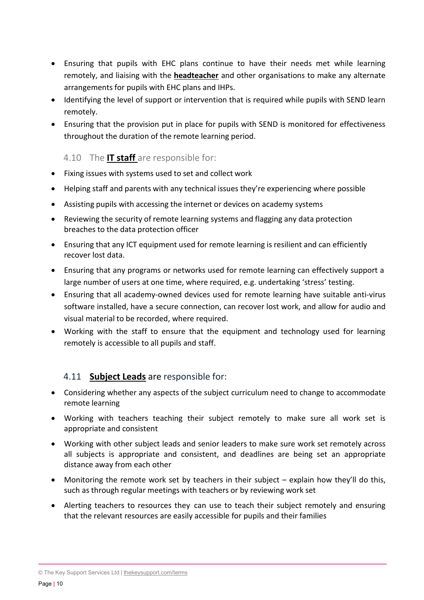- Ensuring that pupils with EHC plans continue to have their needs met while learning remotely, and liaising with the **headteacher** and other organisations to make any alternate arrangements for pupils with EHC plans and IHPs.
- Identifying the level of support or intervention that is required while pupils with SEND learn remotely.
- Ensuring that the provision put in place for pupils with SEND is monitored for effectiveness throughout the duration of the remote learning period.

#### 4.10 The **IT staff** are responsible for:

- Fixing issues with systems used to set and collect work
- Helping staff and parents with any technical issues they're experiencing where possible
- Assisting pupils with accessing the internet or devices on academy systems
- Reviewing the security of remote learning systems and flagging any data protection breaches to the data protection officer
- Ensuring that any ICT equipment used for remote learning is resilient and can efficiently recover lost data.
- Ensuring that any programs or networks used for remote learning can effectively support a large number of users at one time, where required, e.g. undertaking 'stress' testing.
- Ensuring that all academy-owned devices used for remote learning have suitable anti-virus software installed, have a secure connection, can recover lost work, and allow for audio and visual material to be recorded, where required.
- Working with the staff to ensure that the equipment and technology used for learning remotely is accessible to all pupils and staff.

#### 4.11 **Subject Leads** are responsible for:

- Considering whether any aspects of the subject curriculum need to change to accommodate remote learning
- Working with teachers teaching their subject remotely to make sure all work set is appropriate and consistent
- Working with other subject leads and senior leaders to make sure work set remotely across all subjects is appropriate and consistent, and deadlines are being set an appropriate distance away from each other
- Monitoring the remote work set by teachers in their subject explain how they'll do this, such as through regular meetings with teachers or by reviewing work set
- Alerting teachers to resources they can use to teach their subject remotely and ensuring that the relevant resources are easily accessible for pupils and their families

© The Key Support Services Ltd | [thekeysupport.com/terms](https://thekeysupport.com/terms-of-use)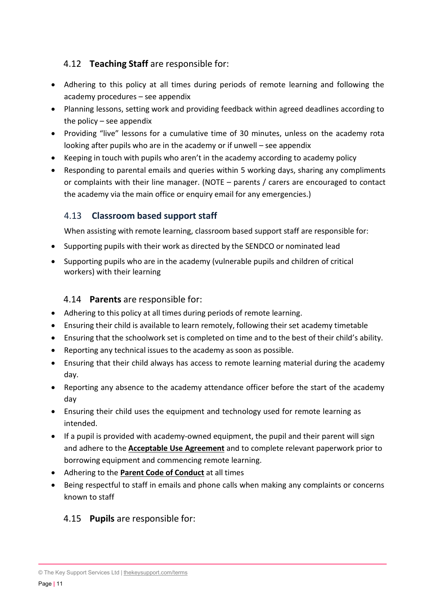#### 4.12 **Teaching Staff** are responsible for:

- Adhering to this policy at all times during periods of remote learning and following the academy procedures – see appendix
- Planning lessons, setting work and providing feedback within agreed deadlines according to the policy – see appendix
- Providing "live" lessons for a cumulative time of 30 minutes, unless on the academy rota looking after pupils who are in the academy or if unwell – see appendix
- Keeping in touch with pupils who aren't in the academy according to academy policy
- Responding to parental emails and queries within 5 working days, sharing any compliments or complaints with their line manager. (NOTE – parents / carers are encouraged to contact the academy via the main office or enquiry email for any emergencies.)

#### 4.13 **Classroom based support staff**

When assisting with remote learning, classroom based support staff are responsible for:

- Supporting pupils with their work as directed by the SENDCO or nominated lead
- Supporting pupils who are in the academy (vulnerable pupils and children of critical workers) with their learning

#### 4.14 **Parents** are responsible for:

- Adhering to this policy at all times during periods of remote learning.
- Ensuring their child is available to learn remotely, following their set academy timetable
- Ensuring that the schoolwork set is completed on time and to the best of their child's ability.
- Reporting any technical issues to the academy as soon as possible.
- Ensuring that their child always has access to remote learning material during the academy day.
- Reporting any absence to the academy attendance officer before the start of the academy day
- Ensuring their child uses the equipment and technology used for remote learning as intended.
- If a pupil is provided with academy-owned equipment, the pupil and their parent will sign and adhere to the **Acceptable Use Agreement** and to complete relevant paperwork prior to borrowing equipment and commencing remote learning.
- Adhering to the **Parent Code of Conduct** at all times
- Being respectful to staff in emails and phone calls when making any complaints or concerns known to staff

#### 4.15 **Pupils** are responsible for:

<sup>©</sup> The Key Support Services Ltd | [thekeysupport.com/terms](https://thekeysupport.com/terms-of-use)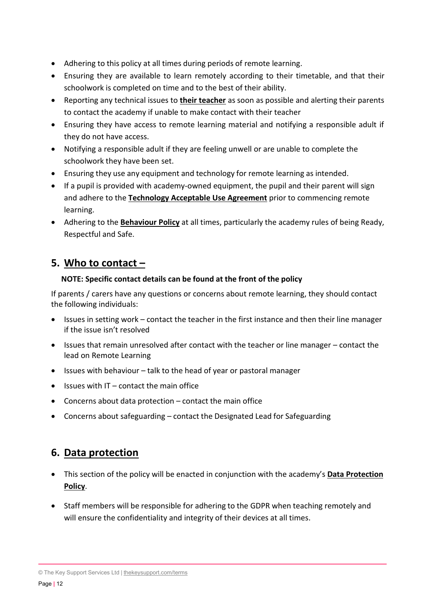- Adhering to this policy at all times during periods of remote learning.
- Ensuring they are available to learn remotely according to their timetable, and that their schoolwork is completed on time and to the best of their ability.
- Reporting any technical issues to **their teacher** as soon as possible and alerting their parents to contact the academy if unable to make contact with their teacher
- Ensuring they have access to remote learning material and notifying a responsible adult if they do not have access.
- Notifying a responsible adult if they are feeling unwell or are unable to complete the schoolwork they have been set.
- Ensuring they use any equipment and technology for remote learning as intended.
- If a pupil is provided with academy-owned equipment, the pupil and their parent will sign and adhere to the **Technology Acceptable Use Agreement** prior to commencing remote learning.
- Adhering to the **Behaviour Policy** at all times, particularly the academy rules of being Ready, Respectful and Safe.

## **5. Who to contact –**

#### **NOTE: Specific contact details can be found at the front of the policy**

If parents / carers have any questions or concerns about remote learning, they should contact the following individuals:

- Issues in setting work contact the teacher in the first instance and then their line manager if the issue isn't resolved
- Issues that remain unresolved after contact with the teacher or line manager contact the lead on Remote Learning
- Issues with behaviour talk to the head of year or pastoral manager
- Issues with IT contact the main office
- Concerns about data protection contact the main office
- Concerns about safeguarding contact the Designated Lead for Safeguarding

## **6. Data protection**

- This section of the policy will be enacted in conjunction with the academy's **Data Protection Policy**.
- Staff members will be responsible for adhering to the GDPR when teaching remotely and will ensure the confidentiality and integrity of their devices at all times.

<sup>©</sup> The Key Support Services Ltd | [thekeysupport.com/terms](https://thekeysupport.com/terms-of-use)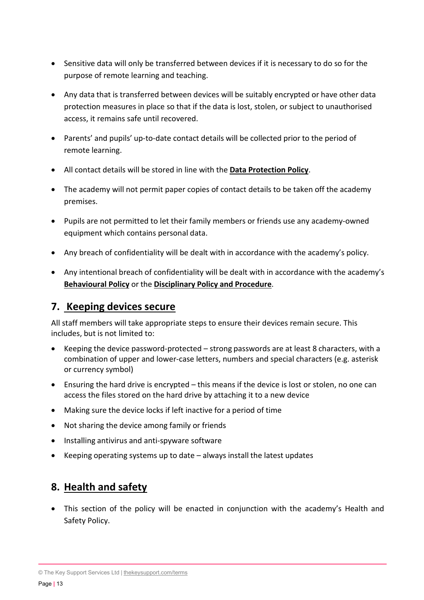- Sensitive data will only be transferred between devices if it is necessary to do so for the purpose of remote learning and teaching.
- Any data that is transferred between devices will be suitably encrypted or have other data protection measures in place so that if the data is lost, stolen, or subject to unauthorised access, it remains safe until recovered.
- Parents' and pupils' up-to-date contact details will be collected prior to the period of remote learning.
- All contact details will be stored in line with the **Data Protection Policy**.
- The academy will not permit paper copies of contact details to be taken off the academy premises.
- Pupils are not permitted to let their family members or friends use any academy-owned equipment which contains personal data.
- Any breach of confidentiality will be dealt with in accordance with the academy's policy.
- Any intentional breach of confidentiality will be dealt with in accordance with the academy's **Behavioural Policy** or the **Disciplinary Policy and Procedure**.

## **7. Keeping devices secure**

All staff members will take appropriate steps to ensure their devices remain secure. This includes, but is not limited to:

- Keeping the device password-protected strong passwords are at least 8 characters, with a combination of upper and lower-case letters, numbers and special characters (e.g. asterisk or currency symbol)
- Ensuring the hard drive is encrypted this means if the device is lost or stolen, no one can access the files stored on the hard drive by attaching it to a new device
- Making sure the device locks if left inactive for a period of time
- Not sharing the device among family or friends
- Installing antivirus and anti-spyware software
- Keeping operating systems up to date always install the latest updates

## **8. Health and safety**

• This section of the policy will be enacted in conjunction with the academy's Health and Safety Policy.

© The Key Support Services Ltd | [thekeysupport.com/terms](https://thekeysupport.com/terms-of-use)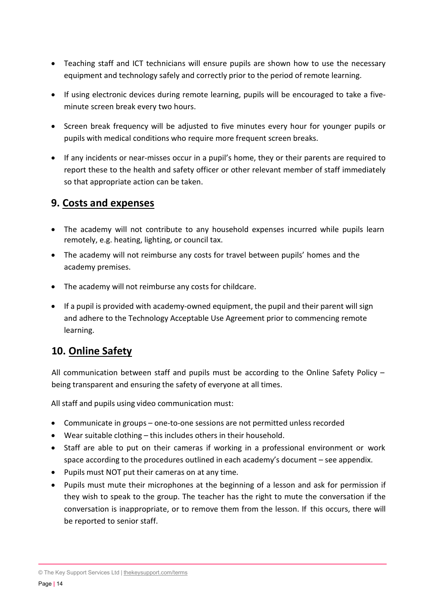- Teaching staff and ICT technicians will ensure pupils are shown how to use the necessary equipment and technology safely and correctly prior to the period of remote learning.
- If using electronic devices during remote learning, pupils will be encouraged to take a fiveminute screen break every two hours.
- Screen break frequency will be adjusted to five minutes every hour for younger pupils or pupils with medical conditions who require more frequent screen breaks.
- If any incidents or near-misses occur in a pupil's home, they or their parents are required to report these to the health and safety officer or other relevant member of staff immediately so that appropriate action can be taken.

### **9. Costs and expenses**

- The academy will not contribute to any household expenses incurred while pupils learn remotely, e.g. heating, lighting, or council tax.
- The academy will not reimburse any costs for travel between pupils' homes and the academy premises.
- The academy will not reimburse any costs for childcare.
- If a pupil is provided with academy-owned equipment, the pupil and their parent will sign and adhere to the Technology Acceptable Use Agreement prior to commencing remote learning.

## **10. Online Safety**

All communication between staff and pupils must be according to the Online Safety Policy – being transparent and ensuring the safety of everyone at all times.

All staff and pupils using video communication must:

- Communicate in groups one-to-one sessions are not permitted unless recorded
- Wear suitable clothing this includes others in their household.
- Staff are able to put on their cameras if working in a professional environment or work space according to the procedures outlined in each academy's document – see appendix.
- Pupils must NOT put their cameras on at any time.
- Pupils must mute their microphones at the beginning of a lesson and ask for permission if they wish to speak to the group. The teacher has the right to mute the conversation if the conversation is inappropriate, or to remove them from the lesson. If this occurs, there will be reported to senior staff.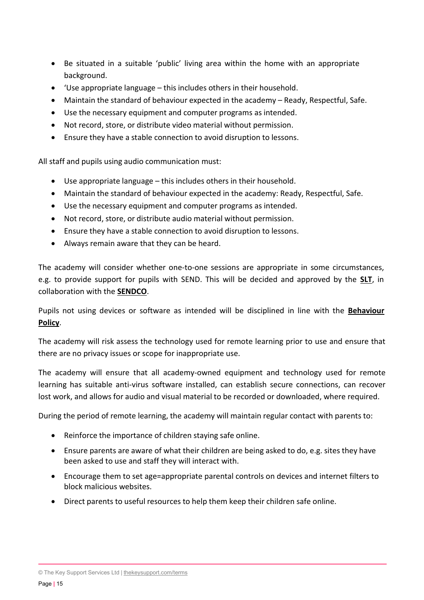- Be situated in a suitable 'public' living area within the home with an appropriate background.
- 'Use appropriate language this includes others in their household.
- Maintain the standard of behaviour expected in the academy Ready, Respectful, Safe.
- Use the necessary equipment and computer programs as intended.
- Not record, store, or distribute video material without permission.
- Ensure they have a stable connection to avoid disruption to lessons.

All staff and pupils using audio communication must:

- Use appropriate language this includes others in their household.
- Maintain the standard of behaviour expected in the academy: Ready, Respectful, Safe.
- Use the necessary equipment and computer programs as intended.
- Not record, store, or distribute audio material without permission.
- Ensure they have a stable connection to avoid disruption to lessons.
- Always remain aware that they can be heard.

The academy will consider whether one-to-one sessions are appropriate in some circumstances, e.g. to provide support for pupils with SEND. This will be decided and approved by the **SLT**, in collaboration with the **SENDCO**.

Pupils not using devices or software as intended will be disciplined in line with the **Behaviour Policy**.

The academy will risk assess the technology used for remote learning prior to use and ensure that there are no privacy issues or scope for inappropriate use.

The academy will ensure that all academy-owned equipment and technology used for remote learning has suitable anti-virus software installed, can establish secure connections, can recover lost work, and allows for audio and visual material to be recorded or downloaded, where required.

During the period of remote learning, the academy will maintain regular contact with parents to:

- Reinforce the importance of children staying safe online.
- Ensure parents are aware of what their children are being asked to do, e.g. sites they have been asked to use and staff they will interact with.
- Encourage them to set age=appropriate parental controls on devices and internet filters to block malicious websites.
- Direct parents to useful resources to help them keep their children safe online.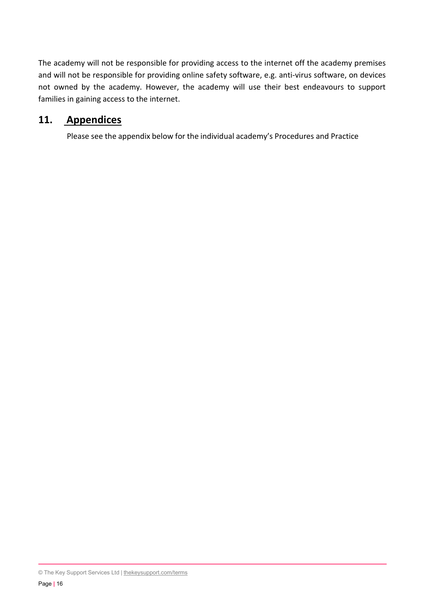The academy will not be responsible for providing access to the internet off the academy premises and will not be responsible for providing online safety software, e.g. anti-virus software, on devices not owned by the academy. However, the academy will use their best endeavours to support families in gaining access to the internet.

#### **11. Appendices**

Please see the appendix below for the individual academy's Procedures and Practice

<sup>©</sup> The Key Support Services Ltd | [thekeysupport.com/terms](https://thekeysupport.com/terms-of-use)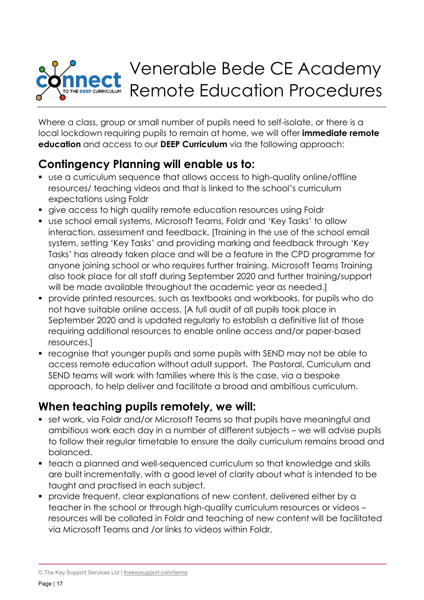## Venerable Bede CE Academy Remote Education Procedures THE DEEP CURRICULUM

Where a class, group or small number of pupils need to self-isolate, or there is a local lockdown requiring pupils to remain at home, we will offer **immediate remote education** and access to our **DEEP Curriculum** via the following approach:

## **Contingency Planning will enable us to:**

- use a curriculum sequence that allows access to high-quality online/offline resources/ teaching videos and that is linked to the school's curriculum expectations using Foldr
- give access to high quality remote education resources using Foldr
- use school email systems, Microsoft Teams, Foldr and 'Key Tasks' to allow interaction, assessment and feedback. [Training in the use of the school email system, setting 'Key Tasks' and providing marking and feedback through 'Key Tasks' has already taken place and will be a feature in the CPD programme for anyone joining school or who requires further training. Microsoft Teams Training also took place for all staff during September 2020 and further training/support will be made available throughout the academic year as needed.
- provide printed resources, such as textbooks and workbooks, for pupils who do not have suitable online access. [A full audit of all pupils took place in September 2020 and is updated regularly to establish a definitive list of those requiring additional resources to enable online access and/or paper-based resources.]
- recognise that younger pupils and some pupils with SEND may not be able to access remote education without adult support. The Pastoral, Curriculum and SEND teams will work with families where this is the case, via a bespoke approach, to help deliver and facilitate a broad and ambitious curriculum.

## **When teaching pupils remotely, we will:**

- set work, via Foldr and/or Microsoft Teams so that pupils have meaningful and ambitious work each day in a number of different subjects – we will advise pupils to follow their regular timetable to ensure the daily curriculum remains broad and balanced.
- teach a planned and well-sequenced curriculum so that knowledge and skills are built incrementally, with a good level of clarity about what is intended to be taught and practised in each subject.
- provide frequent, clear explanations of new content, delivered either by a teacher in the school or through high-quality curriculum resources or videos – resources will be collated in Foldr and teaching of new content will be facilitated via Microsoft Teams and /or links to videos within Foldr.

<sup>©</sup> The Key Support Services Ltd | [thekeysupport.com/terms](https://thekeysupport.com/terms-of-use)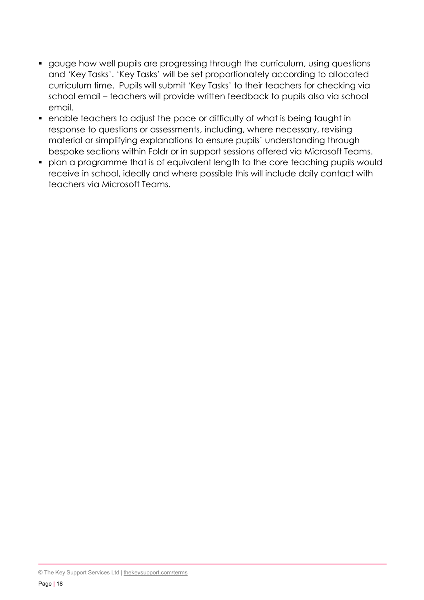- gauge how well pupils are progressing through the curriculum, using questions and 'Key Tasks'. 'Key Tasks' will be set proportionately according to allocated curriculum time. Pupils will submit 'Key Tasks' to their teachers for checking via school email – teachers will provide written feedback to pupils also via school email.
- enable teachers to adjust the pace or difficulty of what is being taught in response to questions or assessments, including, where necessary, revising material or simplifying explanations to ensure pupils' understanding through bespoke sections within Foldr or in support sessions offered via Microsoft Teams.
- plan a programme that is of equivalent length to the core teaching pupils would receive in school, ideally and where possible this will include daily contact with teachers via Microsoft Teams.

<sup>©</sup> The Key Support Services Ltd | [thekeysupport.com/terms](https://thekeysupport.com/terms-of-use)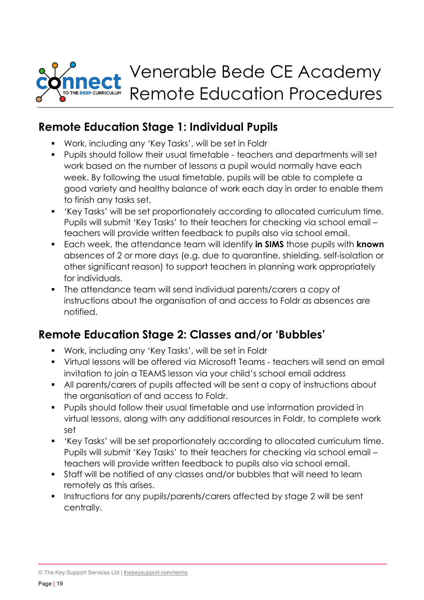

## **Remote Education Stage 1: Individual Pupils**

- Work, including any 'Key Tasks', will be set in Foldr
- Pupils should follow their usual timetable teachers and departments will set work based on the number of lessons a pupil would normally have each week. By following the usual timetable, pupils will be able to complete a good variety and healthy balance of work each day in order to enable them to finish any tasks set.
- 'Key Tasks' will be set proportionately according to allocated curriculum time. Pupils will submit 'Key Tasks' to their teachers for checking via school email – teachers will provide written feedback to pupils also via school email.
- Each week, the attendance team will identify **in SIMS** those pupils with **known** absences of 2 or more days (e.g. due to quarantine, shielding, self-isolation or other significant reason) to support teachers in planning work appropriately for individuals.
- The attendance team will send individual parents/carers a copy of instructions about the organisation of and access to Foldr as absences are notified.

## **Remote Education Stage 2: Classes and/or 'Bubbles'**

- Work, including any 'Key Tasks', will be set in Foldr
- Virtual lessons will be offered via Microsoft Teams teachers will send an email invitation to join a TEAMS lesson via your child's school email address
- All parents/carers of pupils affected will be sent a copy of instructions about the organisation of and access to Foldr.
- **Pupils should follow their usual timetable and use information provided in** virtual lessons, along with any additional resources in Foldr, to complete work set
- 'Key Tasks' will be set proportionately according to allocated curriculum time. Pupils will submit 'Key Tasks' to their teachers for checking via school email – teachers will provide written feedback to pupils also via school email.
- Staff will be notified of any classes and/or bubbles that will need to learn remotely as this arises.
- **Instructions for any pupils/parents/carers affected by stage 2 will be sent** centrally.

© The Key Support Services Ltd | [thekeysupport.com/terms](https://thekeysupport.com/terms-of-use)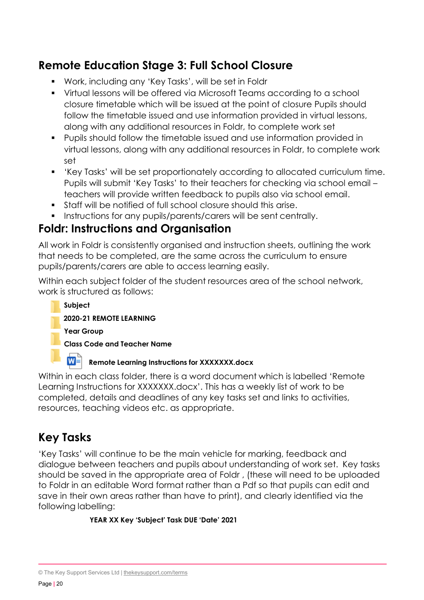## **Remote Education Stage 3: Full School Closure**

- Work, including any 'Key Tasks', will be set in Foldr
- Virtual lessons will be offered via Microsoft Teams according to a school closure timetable which will be issued at the point of closure Pupils should follow the timetable issued and use information provided in virtual lessons, along with any additional resources in Foldr, to complete work set
- Pupils should follow the timetable issued and use information provided in virtual lessons, along with any additional resources in Foldr, to complete work set
- 'Key Tasks' will be set proportionately according to allocated curriculum time. Pupils will submit 'Key Tasks' to their teachers for checking via school email – teachers will provide written feedback to pupils also via school email.
- Staff will be notified of full school closure should this arise.
- **Instructions for any pupils/parents/carers will be sent centrally.**

## **Foldr: Instructions and Organisation**

All work in Foldr is consistently organised and instruction sheets, outlining the work that needs to be completed, are the same across the curriculum to ensure pupils/parents/carers are able to access learning easily.

Within each subject folder of the student resources area of the school network, work is structured as follows:



Within in each class folder, there is a word document which is labelled 'Remote Learning Instructions for XXXXXXX.docx'. This has a weekly list of work to be completed, details and deadlines of any key tasks set and links to activities, resources, teaching videos etc. as appropriate.

## **Key Tasks**

'Key Tasks' will continue to be the main vehicle for marking, feedback and dialogue between teachers and pupils about understanding of work set. Key tasks should be saved in the appropriate area of Foldr , (these will need to be uploaded to Foldr in an editable Word format rather than a Pdf so that pupils can edit and save in their own areas rather than have to print), and clearly identified via the following labelling:

#### **YEAR XX Key 'Subject' Task DUE 'Date' 2021**

<sup>©</sup> The Key Support Services Ltd | [thekeysupport.com/terms](https://thekeysupport.com/terms-of-use)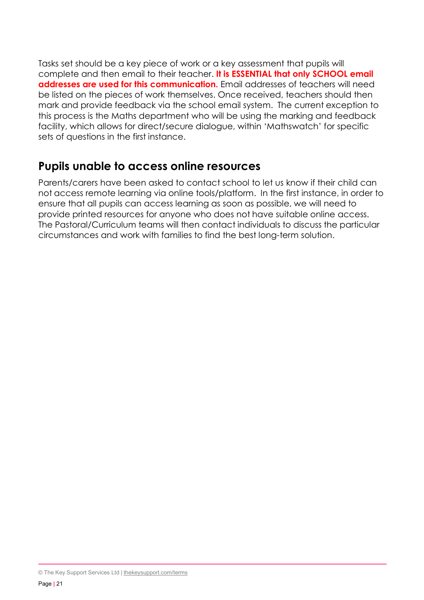Tasks set should be a key piece of work or a key assessment that pupils will complete and then email to their teacher. **It is ESSENTIAL that only SCHOOL email addresses are used for this communication.** Email addresses of teachers will need be listed on the pieces of work themselves. Once received, teachers should then mark and provide feedback via the school email system. The current exception to this process is the Maths department who will be using the marking and feedback facility, which allows for direct/secure dialogue, within 'Mathswatch' for specific sets of questions in the first instance.

## **Pupils unable to access online resources**

Parents/carers have been asked to contact school to let us know if their child can not access remote learning via online tools/platform. In the first instance, in order to ensure that all pupils can access learning as soon as possible, we will need to provide printed resources for anyone who does not have suitable online access. The Pastoral/Curriculum teams will then contact individuals to discuss the particular circumstances and work with families to find the best long-term solution.

<sup>©</sup> The Key Support Services Ltd | [thekeysupport.com/terms](https://thekeysupport.com/terms-of-use)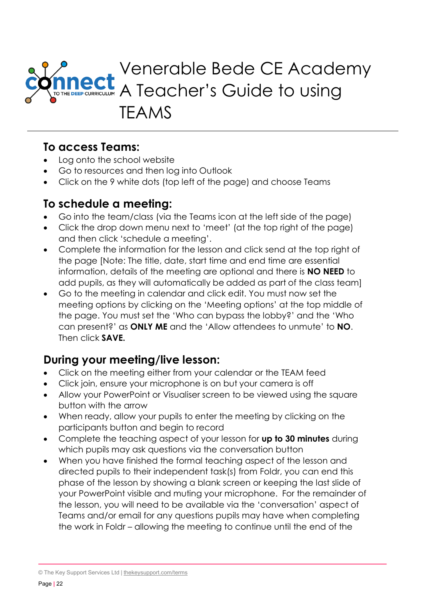

## **To access Teams:**

- Log onto the school website
- Go to resources and then log into Outlook
- Click on the 9 white dots (top left of the page) and choose Teams

## **To schedule a meeting:**

- Go into the team/class (via the Teams icon at the left side of the page)
- Click the drop down menu next to 'meet' (at the top right of the page) and then click 'schedule a meeting'.
- Complete the information for the lesson and click send at the top right of the page [Note: The title, date, start time and end time are essential information, details of the meeting are optional and there is **NO NEED** to add pupils, as they will automatically be added as part of the class team]
- Go to the meeting in calendar and click edit. You must now set the meeting options by clicking on the 'Meeting options' at the top middle of the page. You must set the 'Who can bypass the lobby?' and the 'Who can present?' as **ONLY ME** and the 'Allow attendees to unmute' to **NO**. Then click **SAVE.**

## **During your meeting/live lesson:**

- Click on the meeting either from your calendar or the TEAM feed
- Click join, ensure your microphone is on but your camera is off
- Allow your PowerPoint or Visualiser screen to be viewed using the square button with the arrow
- When ready, allow your pupils to enter the meeting by clicking on the participants button and begin to record
- Complete the teaching aspect of your lesson for **up to 30 minutes** during which pupils may ask questions via the conversation button
- When you have finished the formal teaching aspect of the lesson and directed pupils to their independent task(s) from Foldr, you can end this phase of the lesson by showing a blank screen or keeping the last slide of your PowerPoint visible and muting your microphone. For the remainder of the lesson, you will need to be available via the 'conversation' aspect of Teams and/or email for any questions pupils may have when completing the work in Foldr – allowing the meeting to continue until the end of the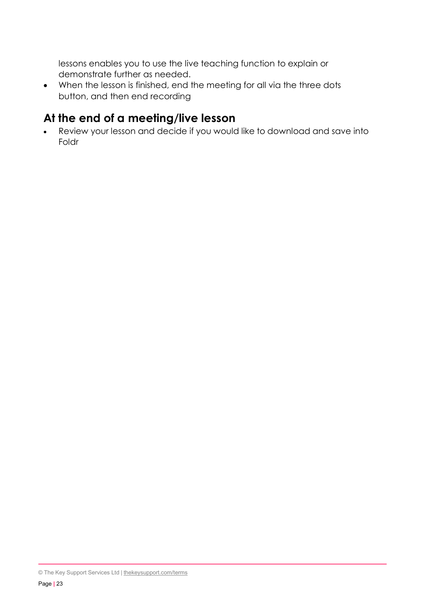lessons enables you to use the live teaching function to explain or demonstrate further as needed.

• When the lesson is finished, end the meeting for all via the three dots button, and then end recording

## **At the end of a meeting/live lesson**

• Review your lesson and decide if you would like to download and save into Foldr

<sup>©</sup> The Key Support Services Ltd | [thekeysupport.com/terms](https://thekeysupport.com/terms-of-use)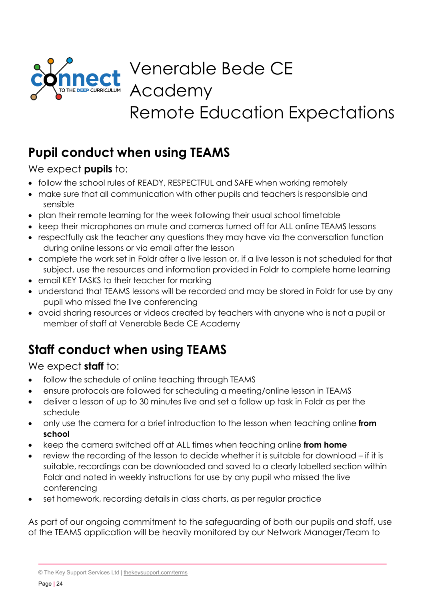

Venerable Bede CE Academy Remote Education Expectations

# **Pupil conduct when using TEAMS**

#### We expect **pupils** to:

- follow the school rules of READY, RESPECTFUL and SAFE when working remotely
- make sure that all communication with other pupils and teachers is responsible and sensible
- plan their remote learning for the week following their usual school timetable
- keep their microphones on mute and cameras turned off for ALL online TEAMS lessons
- respectfully ask the teacher any questions they may have via the conversation function during online lessons or via email after the lesson
- complete the work set in Foldr after a live lesson or, if a live lesson is not scheduled for that subject, use the resources and information provided in Foldr to complete home learning
- email KEY TASKS to their teacher for marking
- understand that TEAMS lessons will be recorded and may be stored in Foldr for use by any pupil who missed the live conferencing
- avoid sharing resources or videos created by teachers with anyone who is not a pupil or member of staff at Venerable Bede CE Academy

# **Staff conduct when using TEAMS**

## We expect **staff** to:

- follow the schedule of online teaching through TEAMS
- ensure protocols are followed for scheduling a meeting/online lesson in TEAMS
- deliver a lesson of up to 30 minutes live and set a follow up task in Foldr as per the schedule
- only use the camera for a brief introduction to the lesson when teaching online **from school**
- keep the camera switched off at ALL times when teaching online **from home**
- review the recording of the lesson to decide whether it is suitable for download if it is suitable, recordings can be downloaded and saved to a clearly labelled section within Foldr and noted in weekly instructions for use by any pupil who missed the live conferencing
- set homework, recording details in class charts, as per regular practice

As part of our ongoing commitment to the safeguarding of both our pupils and staff, use of the TEAMS application will be heavily monitored by our Network Manager/Team to

<sup>©</sup> The Key Support Services Ltd | [thekeysupport.com/terms](https://thekeysupport.com/terms-of-use)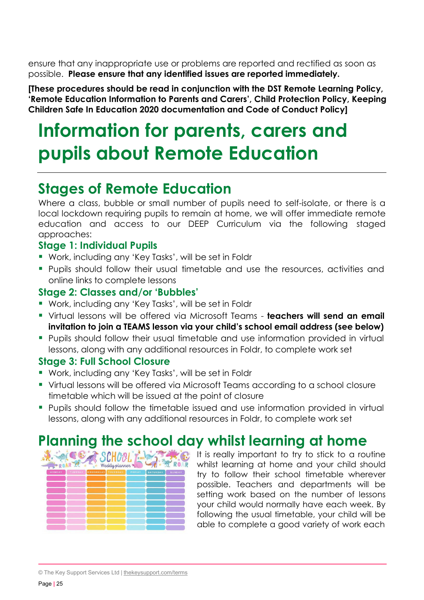ensure that any inappropriate use or problems are reported and rectified as soon as possible. **Please ensure that any identified issues are reported immediately.**

**[These procedures should be read in conjunction with the DST Remote Learning Policy, 'Remote Education Information to Parents and Carers', Child Protection Policy, Keeping Children Safe In Education 2020 documentation and Code of Conduct Policy]**

# **Information for parents, carers and pupils about Remote Education**

# **Stages of Remote Education**

Where a class, bubble or small number of pupils need to self-isolate, or there is a local lockdown requiring pupils to remain at home, we will offer immediate remote education and access to our DEEP Curriculum via the following staged approaches:

#### **Stage 1: Individual Pupils**

- Work, including any 'Key Tasks', will be set in Foldr
- **Pupils should follow their usual timetable and use the resources, activities and** online links to complete lessons

#### **Stage 2: Classes and/or 'Bubbles'**

- Work, including any 'Key Tasks', will be set in Foldr
- Virtual lessons will be offered via Microsoft Teams **teachers will send an email invitation to join a TEAMS lesson via your child's school email address (see below)**
- **Pupils should follow their usual timetable and use information provided in virtual** lessons, along with any additional resources in Foldr, to complete work set

#### **Stage 3: Full School Closure**

- Work, including any 'Key Tasks', will be set in Foldr
- Virtual lessons will be offered via Microsoft Teams according to a school closure timetable which will be issued at the point of closure
- **Pupils should follow the timetable issued and use information provided in virtual** lessons, along with any additional resources in Foldr, to complete work set

# **Planning the school day whilst learning at home**

| Ж.<br>Weekly planner |  |                            |  |        |          |        |  |  |  |
|----------------------|--|----------------------------|--|--------|----------|--------|--|--|--|
| <b>MONDAY</b>        |  | TUESDAY WEDNESDAY THURSDAY |  | FRIDAY | SATURDAY | SUNDAY |  |  |  |
|                      |  |                            |  |        |          |        |  |  |  |
|                      |  |                            |  |        |          |        |  |  |  |
|                      |  |                            |  |        |          |        |  |  |  |
|                      |  |                            |  |        |          |        |  |  |  |
|                      |  |                            |  |        |          |        |  |  |  |
|                      |  |                            |  |        |          |        |  |  |  |
|                      |  |                            |  |        |          |        |  |  |  |
|                      |  |                            |  |        |          |        |  |  |  |
|                      |  |                            |  |        |          |        |  |  |  |

It is really important to try to stick to a routine whilst learning at home and your child should try to follow their school timetable wherever possible. Teachers and departments will be setting work based on the number of lessons your child would normally have each week. By following the usual timetable, your child will be able to complete a good variety of work each

© The Key Support Services Ltd | [thekeysupport.com/terms](https://thekeysupport.com/terms-of-use)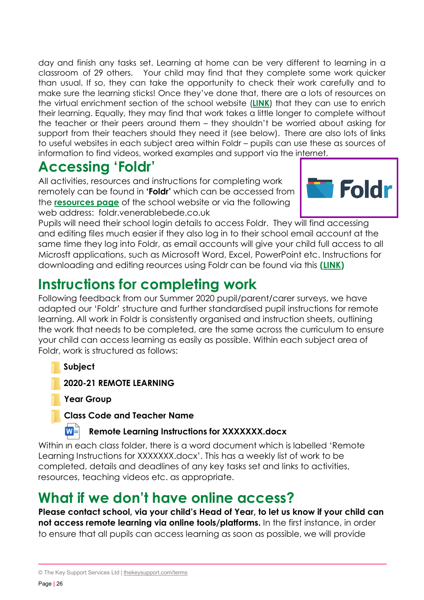day and finish any tasks set. Learning at home can be very different to learning in a classroom of 29 others. Your child may find that they complete some work quicker than usual. If so, they can take the opportunity to check their work carefully and to make sure the learning sticks! Once they've done that, there are a lots of resources on the virtual enrichment section of the school website (**[LINK](http://www.venerablebede.co.uk/virtual-enrichment/)**) that they can use to enrich their learning. Equally, they may find that work takes a little longer to complete without the teacher or their peers around them – they shouldn't be worried about asking for support from their teachers should they need it (see below). There are also lots of links to useful websites in each subject area within Foldr – pupils can use these as sources of information to find videos, worked examples and support via the internet.

# **Accessing 'Foldr'**

All activities, resources and instructions for completing work remotely can be found in **'Foldr'** which can be accessed from the **[resources page](http://www.venerablebede.co.uk/about-us/staff-login/)** of the school website or via the following web address: foldr.venerablebede.co.uk



Pupils will need their school login details to access Foldr. They will find accessing and editing files much easier if they also log in to their school email account at the same time they log into Foldr, as email accounts will give your child full access to all Microsft applications, such as Microsoft Word, Excel, PowerPoint etc. Instructions for downloading and editing reources using Foldr can be found via this **[\(LINK\)](http://www.venerablebede.co.uk/wp-content/uploads/2020/03/Downlading-and-Editing-files-with-Foldr-Instructions.pdf)**

# **Instructions for completing work**

Following feedback from our Summer 2020 pupil/parent/carer surveys, we have adapted our 'Foldr' structure and further standardised pupil instructions for remote learning. All work in Foldr is consistently organised and instruction sheets, outlining the work that needs to be completed, are the same across the curriculum to ensure your child can access learning as easily as possible. Within each subject area of Foldr, work is structured as follows:

**Subject**

M≣

**2020-21 REMOTE LEARNING**

**Year Group**

#### **Class Code and Teacher Name**

#### **Remote Learning Instructions for XXXXXXX.docx**

Within in each class folder, there is a word document which is labelled 'Remote Learning Instructions for XXXXXXX.docx'. This has a weekly list of work to be completed, details and deadlines of any key tasks set and links to activities, resources, teaching videos etc. as appropriate.

# **What if we don't have online access?**

**Please contact school, via your child's Head of Year, to let us know if your child can not access remote learning via online tools/platforms.** In the first instance, in order to ensure that all pupils can access learning as soon as possible, we will provide

<sup>©</sup> The Key Support Services Ltd | [thekeysupport.com/terms](https://thekeysupport.com/terms-of-use)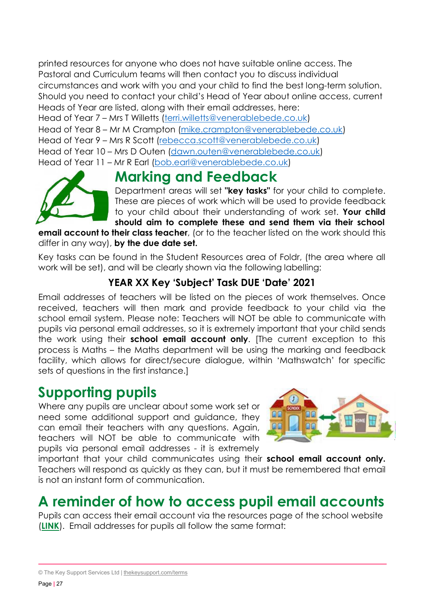printed resources for anyone who does not have suitable online access. The Pastoral and Curriculum teams will then contact you to discuss individual circumstances and work with you and your child to find the best long-term solution. Should you need to contact your child's Head of Year about online access, current Heads of Year are listed, along with their email addresses, here:

Head of Year 7 – Mrs T Willetts [\(terri.willetts@venerablebede.co.uk\)](mailto:terri.willetts@venerablebede.co.uk)

Head of Year 8 – Mr M Crampton [\(mike.crampton@venerablebede.co.uk\)](mailto:mike.crampton@venerablebede.co.uk)

Head of Year 9 – Mrs R Scott [\(rebecca.scott@venerablebede.co.uk\)](mailto:rebecca.scott@venerablebede.co.uk)

Head of Year 10 – Mrs D Outen [\(dawn.outen@venerablebede.co.uk\)](mailto:dawn.outen@venerablebede.co.uk)

Head of Year 11 – Mr R Earl [\(bob.earl@venerablebede.co.uk\)](mailto:bob.earl@venerablebede.co.uk)



**Marking and Feedback** Department areas will set **"key tasks"** for your child to complete. These are pieces of work which will be used to provide feedback to your child about their understanding of work set. **Your child**

**should aim to complete these and send them via their school email account to their class teacher**, (or to the teacher listed on the work should this differ in any way), **by the due date set.**

Key tasks can be found in the Student Resources area of Foldr, (the area where all work will be set), and will be clearly shown via the following labelling:

## **YEAR XX Key 'Subject' Task DUE 'Date' 2021**

Email addresses of teachers will be listed on the pieces of work themselves. Once received, teachers will then mark and provide feedback to your child via the school email system. Please note: Teachers will NOT be able to communicate with pupils via personal email addresses, so it is extremely important that your child sends the work using their **school email account only**. [The current exception to this process is Maths – the Maths department will be using the marking and feedback facility, which allows for direct/secure dialogue, within 'Mathswatch' for specific sets of questions in the first instance.]

## **Supporting pupils**

Where any pupils are unclear about some work set or need some additional support and guidance, they can email their teachers with any questions. Again, teachers will NOT be able to communicate with pupils via personal email addresses - it is extremely



important that your child communicates using their **school email account only.** Teachers will respond as quickly as they can, but it must be remembered that email is not an instant form of communication.

# **A reminder of how to access pupil email accounts**

Pupils can access their email account via the resources page of the school website (**[LINK](http://www.venerablebede.co.uk/about-us/staff-login/)**). Email addresses for pupils all follow the same format:

<sup>©</sup> The Key Support Services Ltd | [thekeysupport.com/terms](https://thekeysupport.com/terms-of-use)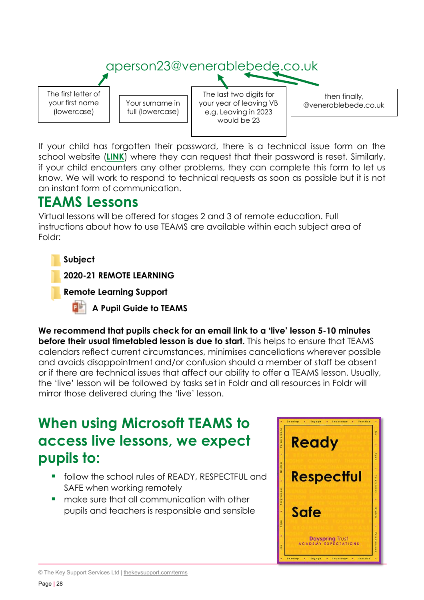

If your child has forgotten their password, there is a technical issue form on the school website (**[LINK](http://www.venerablebede.co.uk/about-us/staff-login/)**) where they can request that their password is reset. Similarly, if your child encounters any other problems, they can complete this form to let us know. We will work to respond to technical requests as soon as possible but it is not an instant form of communication.

# **TEAMS Lessons**

Virtual lessons will be offered for stages 2 and 3 of remote education. Full instructions about how to use TEAMS are available within each subject area of Foldr:

#### **Subject**

**2020-21 REMOTE LEARNING**

**Remote Learning Support**

**A Pupil Guide to TEAMS**

**We recommend that pupils check for an email link to a 'live' lesson 5-10 minutes before their usual timetabled lesson is due to start.** This helps to ensure that TEAMS calendars reflect current circumstances, minimises cancellations wherever possible and avoids disappointment and/or confusion should a member of staff be absent or if there are technical issues that affect our ability to offer a TEAMS lesson. Usually, the 'live' lesson will be followed by tasks set in Foldr and all resources in Foldr will mirror those delivered during the 'live' lesson.

# **When using Microsoft TEAMS to access live lessons, we expect pupils to:**

- **follow the school rules of READY, RESPECTFUL and** SAFE when working remotely
- **namate sure that all communication with other** pupils and teachers is responsible and sensible



<sup>©</sup> The Key Support Services Ltd | [thekeysupport.com/terms](https://thekeysupport.com/terms-of-use)